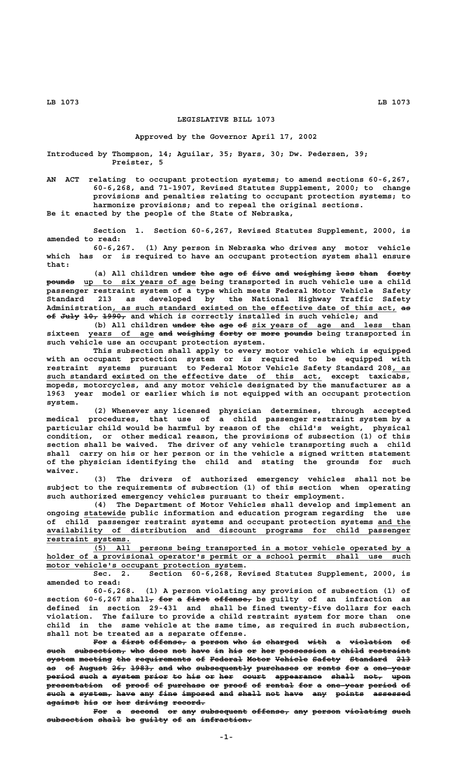## **LEGISLATIVE BILL 1073**

## **Approved by the Governor April 17, 2002**

**Introduced by Thompson, 14; Aguilar, 35; Byars, 30; Dw. Pedersen, 39; Preister, 5**

**AN ACT relating to occupant protection systems; to amend sections 60-6,267, 60-6,268, and 71-1907, Revised Statutes Supplement, 2000; to change provisions and penalties relating to occupant protection systems; to harmonize provisions; and to repeal the original sections. Be it enacted by the people of the State of Nebraska,**

**Section 1. Section 60-6,267, Revised Statutes Supplement, 2000, is amended to read: 60-6,267. (1) Any person in Nebraska who drives any motor vehicle**

**which has or is required to have an occupant protection system shall ensure that:**

(a) All children under the age of five and weighing less than forty  **—————— \_\_\_\_\_\_\_\_\_\_\_\_\_\_\_\_\_\_\_\_\_\_\_\_ pounds up to six years of age being transported in such vehicle use a child passenger restraint system of a type which meets Federal Motor Vehicle Safety Standard 213 as developed by the National Highway Traffic Safety \_\_\_\_\_\_\_\_\_\_\_\_\_\_\_\_\_\_\_\_\_\_\_\_\_\_\_\_\_\_\_\_\_\_\_\_\_\_\_\_\_\_\_\_\_\_\_\_\_\_\_\_\_\_\_\_\_\_\_\_\_ —— Administration, as such standard existed on the effective date of this act, as of July 10, 1990, and which is correctly installed in such vehicle; and** 

(b) All children under the age of six years of age and less than **sixteen years of age and weighing forty or more pounds being transported in \_\_\_\_\_\_\_\_\_\_\_\_\_\_ ——— ———————— ————— —— ———— ————— such vehicle use an occupant protection system.**

**This subsection shall apply to every motor vehicle which is equipped with an occupant protection system or is required to be equipped with restraint systems pursuant to Federal Motor Vehicle Safety Standard 208, as \_\_\_\_** such standard existed on the effective date of this act, except taxicabs, **mopeds, motorcycles, and any motor vehicle designated by the manufacturer as a 1963 year model or earlier which is not equipped with an occupant protection system.**

**(2) Whenever any licensed physician determines, through accepted medical procedures, that use of a child passenger restraint system by a particular child would be harmful by reason of the child's weight, physical condition, or other medical reason, the provisions of subsection (1) of this section shall be waived. The driver of any vehicle transporting such a child shall carry on his or her person or in the vehicle a signed written statement of the physician identifying the child and stating the grounds for such waiver.**

**(3) The drivers of authorized emergency vehicles shall not be subject to the requirements of subsection (1) of this section when operating such authorized emergency vehicles pursuant to their employment.**

**(4) The Department of Motor Vehicles shall develop and implement an \_\_\_\_\_\_\_\_\_ ongoing statewide public information and education program regarding the use** of child passenger restraint systems and occupant protection systems and the  **\_\_\_\_\_\_\_\_\_\_\_\_\_\_\_\_\_\_\_\_\_\_\_\_\_\_\_\_\_\_\_\_\_\_\_\_\_\_\_\_\_\_\_\_\_\_\_\_\_\_\_\_\_\_\_\_\_\_\_\_\_\_\_\_\_\_\_\_\_\_\_\_\_\_\_\_\_\_ availability of distribution and discount programs for child passenger restraint systems.**<br>(5) All

 **\_\_\_\_\_\_\_\_\_\_\_\_\_\_\_\_\_\_\_\_\_\_\_\_\_\_\_\_\_\_\_\_\_\_\_\_\_\_\_\_\_\_\_\_\_\_\_\_\_\_\_\_\_\_\_\_\_\_\_\_\_\_\_\_\_\_\_\_ (5) All persons being transported in a motor vehicle operated by a** holder of a provisional operator's permit or a school permit shall use such  **\_\_\_\_\_\_\_\_\_\_\_\_\_\_\_\_\_\_\_\_\_\_\_\_\_\_\_\_\_\_\_\_\_\_\_\_\_\_\_\_\_\_ motor vehicle's occupant protection system.**

**Sec. 2. Section 60-6,268, Revised Statutes Supplement, 2000, is amended to read:**

**60-6,268. (1) A person violating any provision of subsection (1) of** section 60-6,267 shall<sub>7</sub> for a first offense<sub>7</sub> be guilty of an infraction as **defined in section 29-431 and shall be fined twenty-five dollars for each violation. The failure to provide a child restraint system for more than one child in the same vehicle at the same time, as required in such subsection, shall not be treated as a separate offense.**

For a first offense, a person who is charged with a violation of such subsection, who does not have in his or her possession a child restraint system meeting the requirements of Federal Motor Vehicle Safety Standard 213 as of August 26, 1983, and who subsequently purchases or rents for a one year period such a system prior to his or her court appearance shall not, upon **presentation of proof of purchase or proof of rental for a one-year period of** such a system, have any fine imposed and shall not have any points assessed  $a$ gainst his or her driving record.

For a second or any subsequent offense, any person violating such  $subsection$  shall be guilty of an infraction.